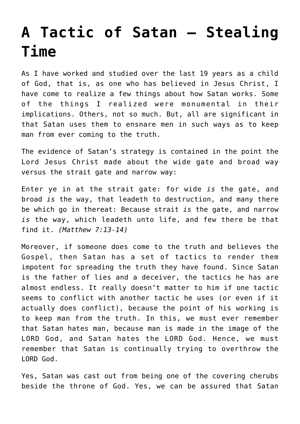## **[A Tactic of Satan – Stealing](http://reproachofmen.org/spiritualwar/tactic-satan-stealing-time/) [Time](http://reproachofmen.org/spiritualwar/tactic-satan-stealing-time/)**

As I have worked and studied over the last 19 years as a child of God, that is, as one who has believed in Jesus Christ, I have come to realize a few things about how Satan works. Some of the things I realized were monumental in their implications. Others, not so much. But, all are significant in that Satan uses them to ensnare men in such ways as to keep man from ever coming to the truth.

The evidence of Satan's strategy is contained in the point the Lord Jesus Christ made about the wide gate and broad way versus the strait gate and narrow way:

Enter ye in at the strait gate: for wide *is* the gate, and broad *is* the way, that leadeth to destruction, and many there be which go in thereat: Because strait *is* the gate, and narrow *is* the way, which leadeth unto life, and few there be that find it. *(Matthew 7:13-14)*

Moreover, if someone does come to the truth and believes the Gospel, then Satan has a set of tactics to render them impotent for spreading the truth they have found. Since Satan is the father of lies and a deceiver, the tactics he has are almost endless. It really doesn't matter to him if one tactic seems to conflict with another tactic he uses (or even if it actually does conflict), because the point of his working is to keep man from the truth. In this, we must ever remember that Satan hates man, because man is made in the image of the LORD God, and Satan hates the LORD God. Hence, we must remember that Satan is continually trying to overthrow the LORD God.

Yes, Satan was cast out from being one of the covering cherubs beside the throne of God. Yes, we can be assured that Satan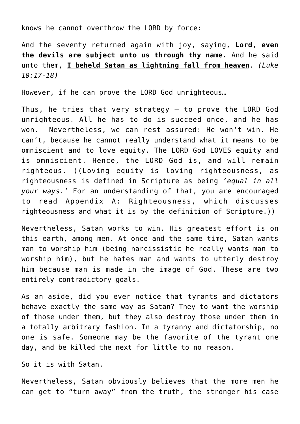knows he cannot overthrow the LORD by force:

And the seventy returned again with joy, saying, **Lord, even the devils are subject unto us through thy name.** And he said unto them, **I beheld Satan as lightning fall from heaven**. *(Luke 10:17-18)*

However, if he can prove the LORD God unrighteous…

Thus, he tries that very strategy — to prove the LORD God unrighteous. All he has to do is succeed once, and he has won. Nevertheless, we can rest assured: He won't win. He can't, because he cannot really understand what it means to be omniscient and to love equity. The LORD God LOVES equity and is omniscient. Hence, the LORD God is, and will remain righteous. ((Loving equity is loving righteousness, as righteousness is defined in Scripture as being *'equal in all your ways.'* For an understanding of that, you are encouraged to read [Appendix A: Righteousness](http://www.reproachofmen.org/doctrines/scriptural-case-abortion/appendix-righteousness/), which discusses righteousness and what it is by the definition of Scripture.))

Nevertheless, Satan works to win. His greatest effort is on this earth, among men. At once and the same time, Satan wants man to worship him (being narcissistic he really wants man to worship him), but he hates man and wants to utterly destroy him because man is made in the image of God. These are two entirely contradictory goals.

As an aside, did you ever notice that tyrants and dictators behave exactly the same way as Satan? They to want the worship of those under them, but they also destroy those under them in a totally arbitrary fashion. In a tyranny and dictatorship, no one is safe. Someone may be the favorite of the tyrant one day, and be killed the next for little to no reason.

So it is with Satan.

Nevertheless, Satan obviously believes that the more men he can get to "turn away" from the truth, the stronger his case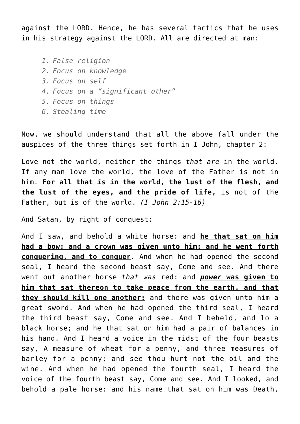against the LORD. Hence, he has several tactics that he uses in his strategy against the LORD. All are directed at man:

*1. False religion 2. Focus on knowledge 3. Focus on self*

- *4. Focus on a "significant other"*
- *5. Focus on things*
- *6. Stealing time*

Now, we should understand that all the above fall under the auspices of the three things set forth in I John, chapter 2:

Love not the world, neither the things *that are* in the world. If any man love the world, the love of the Father is not in him. **For all that** *is* **in the world, the lust of the flesh, and the lust of the eyes, and the pride of life,** is not of the Father, but is of the world. *(I John 2:15-16)*

And Satan, by right of conquest:

And I saw, and behold a white horse: and **he that sat on him had a bow; and a crown was given unto him: and he went forth conquering, and to conquer**. And when he had opened the second seal, I heard the second beast say, Come and see. And there went out another horse *that was* red: and *power* **was given to him that sat thereon to take peace from the earth, and that they should kill one another:** and there was given unto him a great sword. And when he had opened the third seal, I heard the third beast say, Come and see. And I beheld, and lo a black horse; and he that sat on him had a pair of balances in his hand. And I heard a voice in the midst of the four beasts say, A measure of wheat for a penny, and three measures of barley for a penny; and see thou hurt not the oil and the wine. And when he had opened the fourth seal, I heard the voice of the fourth beast say, Come and see. And I looked, and behold a pale horse: and his name that sat on him was Death,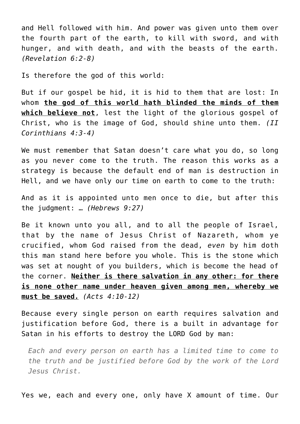and Hell followed with him. And power was given unto them over the fourth part of the earth, to kill with sword, and with hunger, and with death, and with the beasts of the earth. *(Revelation 6:2-8)*

Is therefore the god of this world:

But if our gospel be hid, it is hid to them that are lost: In whom **the god of this world hath blinded the minds of them which believe not**, lest the light of the glorious gospel of Christ, who is the image of God, should shine unto them. *(II Corinthians 4:3-4)*

We must remember that Satan doesn't care what you do, so long as you never come to the truth. The reason this works as a strategy is because the default end of man is destruction in Hell, and we have only our time on earth to come to the truth:

And as it is appointed unto men once to die, but after this the judgment: … *(Hebrews 9:27)*

Be it known unto you all, and to all the people of Israel, that by the name of Jesus Christ of Nazareth, whom ye crucified, whom God raised from the dead, *even* by him doth this man stand here before you whole. This is the stone which was set at nought of you builders, which is become the head of the corner. **Neither is there salvation in any other: for there is none other name under heaven given among men, whereby we must be saved.** *(Acts 4:10-12)*

Because every single person on earth requires salvation and justification before God, there is a built in advantage for Satan in his efforts to destroy the LORD God by man:

*Each and every person on earth has a limited time to come to the truth and be justified before God by the work of the Lord Jesus Christ.*

Yes we, each and every one, only have X amount of time. Our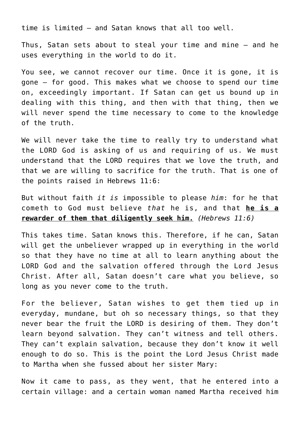time is limited — and Satan knows that all too well.

Thus, Satan sets about to steal your time and mine — and he uses everything in the world to do it.

You see, we cannot recover our time. Once it is gone, it is gone — for good. This makes what we choose to spend our time on, exceedingly important. If Satan can get us bound up in dealing with this thing, and then with that thing, then we will never spend the time necessary to come to the knowledge of the truth.

We will never take the time to really try to understand what the LORD God is asking of us and requiring of us. We must understand that the LORD requires that we love the truth, and that we are willing to sacrifice for the truth. That is one of the points raised in Hebrews 11:6:

But without faith *it is* impossible to please *him*: for he that cometh to God must believe *that* he is, and that **he is a rewarder of them that diligently seek him.** *(Hebrews 11:6)*

This takes time. Satan knows this. Therefore, if he can, Satan will get the unbeliever wrapped up in everything in the world so that they have no time at all to learn anything about the LORD God and the salvation offered through the Lord Jesus Christ. After all, Satan doesn't care what you believe, so long as you never come to the truth.

For the believer, Satan wishes to get them tied up in everyday, mundane, but oh so necessary things, so that they never bear the fruit the LORD is desiring of them. They don't learn beyond salvation. They can't witness and tell others. They can't explain salvation, because they don't know it well enough to do so. This is the point the Lord Jesus Christ made to Martha when she fussed about her sister Mary:

Now it came to pass, as they went, that he entered into a certain village: and a certain woman named Martha received him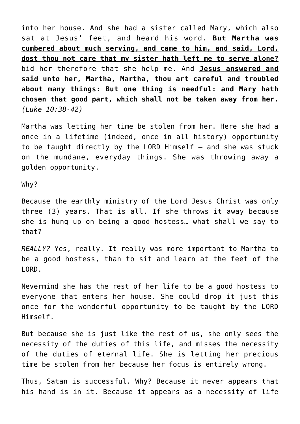into her house. And she had a sister called Mary, which also sat at Jesus' feet, and heard his word. **But Martha was cumbered about much serving, and came to him, and said, Lord, dost thou not care that my sister hath left me to serve alone?** bid her therefore that she help me. And **Jesus answered and said unto her, Martha, Martha, thou art careful and troubled about many things: But one thing is needful: and Mary hath chosen that good part, which shall not be taken away from her.** *(Luke 10:38-42)*

Martha was letting her time be stolen from her. Here she had a once in a lifetime (indeed, once in all history) opportunity to be taught directly by the LORD Himself — and she was stuck on the mundane, everyday things. She was throwing away a golden opportunity.

Why?

Because the earthly ministry of the Lord Jesus Christ was only three (3) years. That is all. If she throws it away because she is hung up on being a good hostess… what shall we say to that?

*REALLY?* Yes, really. It really was more important to Martha to be a good hostess, than to sit and learn at the feet of the LORD.

Nevermind she has the rest of her life to be a good hostess to everyone that enters her house. She could drop it just this once for the wonderful opportunity to be taught by the LORD Himself.

But because she is just like the rest of us, she only sees the necessity of the duties of this life, and misses the necessity of the duties of eternal life. She is letting her precious time be stolen from her because her focus is entirely wrong.

Thus, Satan is successful. Why? Because it never appears that his hand is in it. Because it appears as a necessity of life